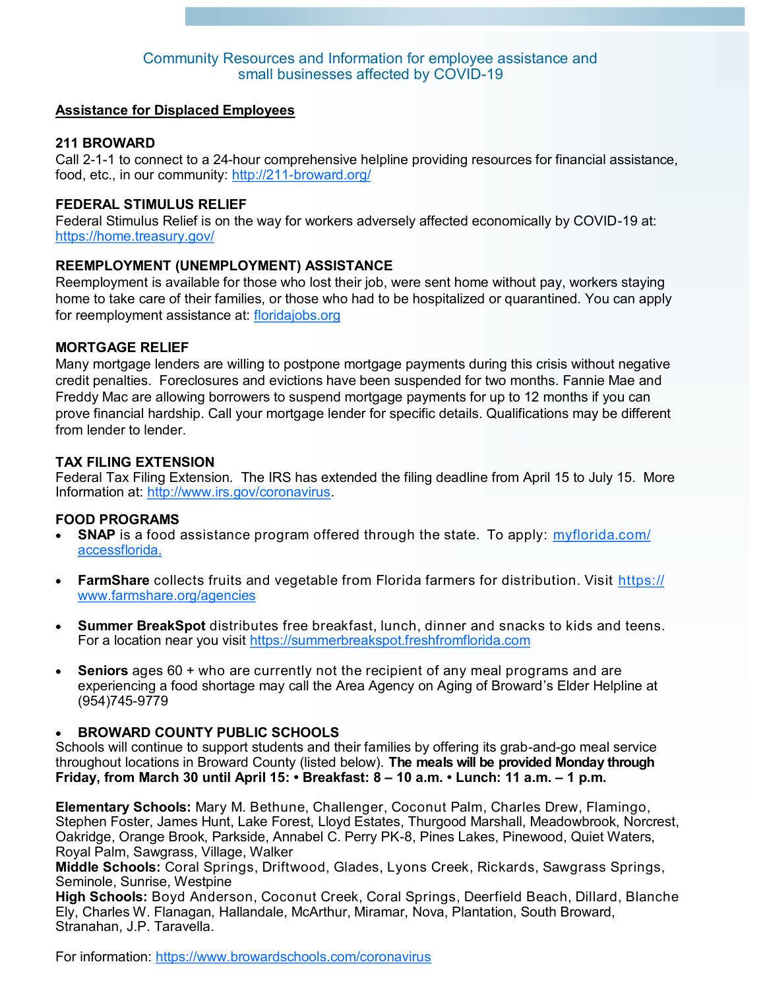### **Assistance for Displaced Employees**

# **211 BROWARD**

Call 2-1-1 to connect to a 24-hour comprehensive helpline providing resources for financial assistance, food, etc., in our community: http://211-[broward.org/](http://211-broward.org/)

# **FEDERAL STIMULUS RELIEF**

Federal Stimulus Relief is on the way for workers adversely affected economically by COVID-19 at: <https://home.treasury.gov/>

# **REEMPLOYMENT (UNEMPLOYMENT) ASSISTANCE**

Reemployment is available for those who lost their job, were sent home without pay, workers staying home to take care of their families, or those who had to be hospitalized or quarantined. You can apply for reemployment assistance at: [floridajobs.org](http://www.floridajobs.org) 

### **MORTGAGE RELIEF**

Many mortgage lenders are willing to postpone mortgage payments during this crisis without negative credit penalties. Foreclosures and evictions have been suspended for two months. Fannie Mae and Freddy Mac are allowing borrowers to suspend mortgage payments for up to 12 months if you can prove financial hardship. Call your mortgage lender for specific details. Qualifications may be different from lender to lender.

### **TAX FILING EXTENSION**

Federal Tax Filing Extension. The IRS has extended the filing deadline from April 15 to July 15. More Information at: [http://www.irs.gov/coronavirus.](http://www.irs.gov/coronavirus)

### **FOOD PROGRAMS**

- **SNAP** is a food assistance program offered through the state. To apply: [myflorida.com/](https://www.myflorida.com/accessflorida) [accessflorida.](https://www.myflorida.com/accessflorida)
- **FarmShare** collects fruits and vegetable from Florida farmers for distribution. Visit [https://](https://www.farmshare.org/agencies) [www.farmshare.org/agencies](https://www.farmshare.org/agencies)
- **Summer BreakSpot** distributes free breakfast, lunch, dinner and snacks to kids and teens. For a location near you visit https://summerbreakspot.freshfromflorida.com
- **Seniors** [ages 60 + who are currently not the recipient of any meal programs and are](https://summerbreakspot.freshfromflorida.com%20%0d)  [experiencing a food shortage may call the Area Agency on Aging of Broward's Elder Helpline at](https://summerbreakspot.freshfromflorida.com%20%0d)  [\(954\)745](https://summerbreakspot.freshfromflorida.com%20%0d)-9779

### **BROWARD COUNTY PUBLIC SCHOOLS**

Schools will continue to support students and their families by offering its grab-and-go meal service throughout locations in Broward County (listed below). **The meals will be provided Monday through Friday, from March 30 until April 15: • Breakfast: 8 – 10 a.m. • Lunch: 11 a.m. – 1 p.m.**

**Elementary Schools:** Mary M. Bethune, Challenger, Coconut Palm, Charles Drew, Flamingo, Stephen Foster, James Hunt, Lake Forest, Lloyd Estates, Thurgood Marshall, Meadowbrook, Norcrest, Oakridge, Orange Brook, Parkside, Annabel C. Perry PK-8, Pines Lakes, Pinewood, Quiet Waters, Royal Palm, Sawgrass, Village, Walker

**Middle Schools:** Coral Springs, Driftwood, Glades, Lyons Creek, Rickards, Sawgrass Springs, Seminole, Sunrise, Westpine

**High Schools:** Boyd Anderson, Coconut Creek, Coral Springs, Deerfield Beach, Dillard, Blanche Ely, Charles W. Flanagan, Hallandale, McArthur, Miramar, Nova, Plantation, South Broward, Stranahan, J.P. Taravella.

For information: <https://www.browardschools.com/coronavirus>